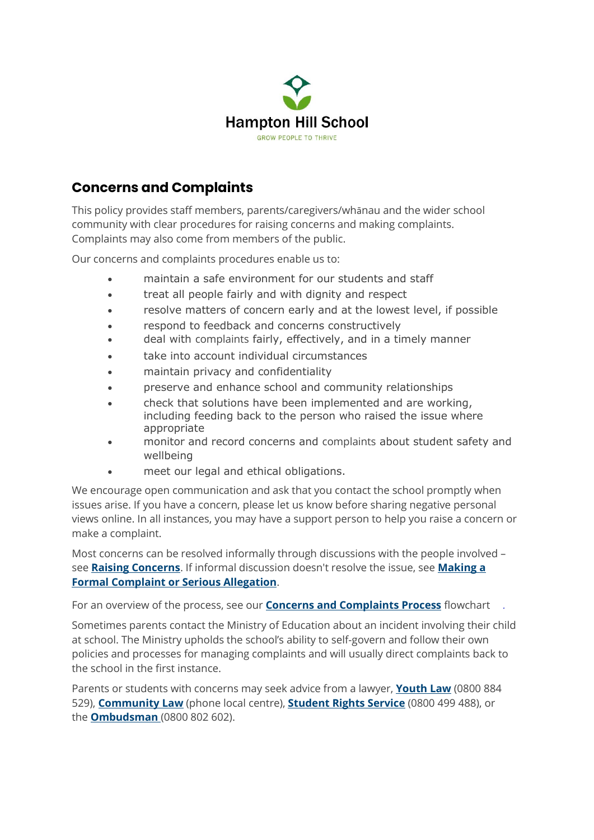

## **Concerns and Complaints**

This policy provides staff members, parents/caregivers/whānau and the wider school community with clear procedures for raising concerns and making complaints. Complaints may also come from members of the public.

Our concerns and complaints procedures enable us to:

- maintain a safe environment for our students and staff
- treat all people fairly and with dignity and respect
- resolve matters of concern early and at the lowest level, if possible
- respond to feedback and concerns constructively
- deal with complaints fairly, effectively, and in a timely manner
- take into account individual circumstances
- maintain privacy and confidentiality
- preserve and enhance school and community relationships
- check that solutions have been implemented and are working, including feeding back to the person who raised the issue where appropriate
- monitor and record concerns and complaints about student safety and wellbeing
- meet our legal and ethical obligations.

We encourage open communication and ask that you contact the school promptly when issues arise. If you have a concern, please let us know before sharing negative personal views online. In all instances, you may have a support person to help you raise a concern or make a complaint.

Most concerns can be resolved informally through discussions with the people involved – see **[Raising Concerns](https://hamptonhill.schooldocs.co.nz/12729.htm)**. If informal discussion doesn't resolve the issue, see **[Making a](https://hamptonhill.schooldocs.co.nz/12803.htm)  [Formal Complaint or Serious Allegation](https://hamptonhill.schooldocs.co.nz/12803.htm)**.

For an overview of the process, see our **[Concerns and](https://hamptonhill.schooldocs.co.nz/ConcernsComplaintsFlowchart.pdf) Complaints Process** flowchart *.*

Sometimes parents contact the Ministry of Education about an incident involving their child at school. The Ministry upholds the school's ability to self-govern and follow their own policies and processes for managing complaints and will usually direct complaints back to the school in the first instance.

Parents or students with concerns may seek advice from a lawyer, **[Youth Law](http://youthlaw.co.nz/)** (0800 884 529), **[Community Law](https://communitylaw.org.nz/)** (phone local centre), **[Student Rights Service](https://studentrights.nz/)** (0800 499 488), or the **[Ombudsman](https://www.ombudsman.parliament.nz/get-help-public)** (0800 802 602).